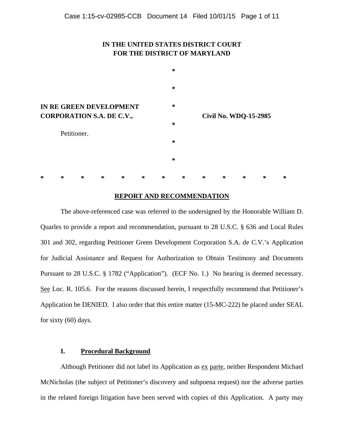# **IN THE UNITED STATES DISTRICT COURT FOR THE DISTRICT OF MARYLAND**



## **REPORT AND RECOMMENDATION**

The above-referenced case was referred to the undersigned by the Honorable William D. Quarles to provide a report and recommendation, pursuant to 28 U.S.C. § 636 and Local Rules 301 and 302, regarding Petitioner Green Development Corporation S.A. de C.V.'s Application for Judicial Assistance and Request for Authorization to Obtain Testimony and Documents Pursuant to 28 U.S.C. § 1782 ("Application"). (ECF No. 1.) No hearing is deemed necessary. See Loc. R. 105.6. For the reasons discussed herein, I respectfully recommend that Petitioner's Application be DENIED. I also order that this entire matter (15-MC-222) be placed under SEAL for sixty (60) days.

## **I. Procedural Background**

Although Petitioner did not label its Application as ex parte, neither Respondent Michael McNicholas (the subject of Petitioner's discovery and subpoena request) nor the adverse parties in the related foreign litigation have been served with copies of this Application. A party may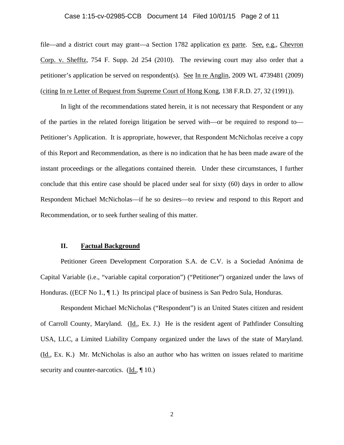## Case 1:15-cv-02985-CCB Document 14 Filed 10/01/15 Page 2 of 11

file—and a district court may grant—a Section 1782 application ex parte. See, e.g., Chevron Corp. v. Shefftz, 754 F. Supp. 2d 254 (2010). The reviewing court may also order that a petitioner's application be served on respondent(s). See In re Anglin, 2009 WL 4739481 (2009) (citing In re Letter of Request from Supreme Court of Hong Kong, 138 F.R.D. 27, 32 (1991)).

In light of the recommendations stated herein, it is not necessary that Respondent or any of the parties in the related foreign litigation be served with—or be required to respond to— Petitioner's Application. It is appropriate, however, that Respondent McNicholas receive a copy of this Report and Recommendation, as there is no indication that he has been made aware of the instant proceedings or the allegations contained therein. Under these circumstances, I further conclude that this entire case should be placed under seal for sixty (60) days in order to allow Respondent Michael McNicholas—if he so desires—to review and respond to this Report and Recommendation, or to seek further sealing of this matter.

### **II. Factual Background**

Petitioner Green Development Corporation S.A. de C.V. is a Sociedad Anónima de Capital Variable (i.e., "variable capital corporation") ("Petitioner") organized under the laws of Honduras. ((ECF No  $1, \P 1$ .) Its principal place of business is San Pedro Sula, Honduras.

Respondent Michael McNicholas ("Respondent") is an United States citizen and resident of Carroll County, Maryland. (Id., Ex. J.) He is the resident agent of Pathfinder Consulting USA, LLC, a Limited Liability Company organized under the laws of the state of Maryland. (Id., Ex. K.) Mr. McNicholas is also an author who has written on issues related to maritime security and counter-narcotics. (Id.,  $\P$  10.)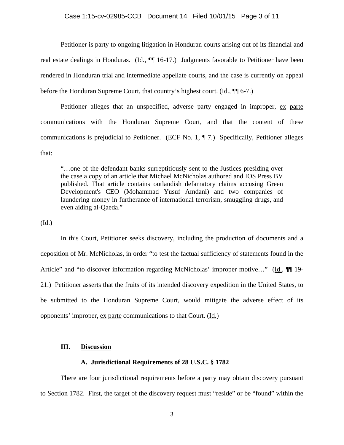Petitioner is party to ongoing litigation in Honduran courts arising out of its financial and real estate dealings in Honduras. (Id.,  $\P$  16-17.) Judgments favorable to Petitioner have been rendered in Honduran trial and intermediate appellate courts, and the case is currently on appeal before the Honduran Supreme Court, that country's highest court. (Id., ¶¶ 6-7.)

Petitioner alleges that an unspecified, adverse party engaged in improper, ex parte communications with the Honduran Supreme Court, and that the content of these communications is prejudicial to Petitioner. (ECF No. 1,  $\P$  7.) Specifically, Petitioner alleges that:

"…one of the defendant banks surreptitiously sent to the Justices presiding over the case a copy of an article that Michael McNicholas authored and IOS Press BV published. That article contains outlandish defamatory claims accusing Green Development's CEO (Mohammad Yusuf Amdani) and two companies of laundering money in furtherance of international terrorism, smuggling drugs, and even aiding al-Qaeda."

(Id.)

 In this Court, Petitioner seeks discovery, including the production of documents and a deposition of Mr. McNicholas, in order "to test the factual sufficiency of statements found in the Article" and "to discover information regarding McNicholas' improper motive..." (Id.,  $\P\P$  19-21.) Petitioner asserts that the fruits of its intended discovery expedition in the United States, to be submitted to the Honduran Supreme Court, would mitigate the adverse effect of its opponents' improper, ex parte communications to that Court. (Id.)

## **III. Discussion**

### **A. Jurisdictional Requirements of 28 U.S.C. § 1782**

There are four jurisdictional requirements before a party may obtain discovery pursuant to Section 1782. First, the target of the discovery request must "reside" or be "found" within the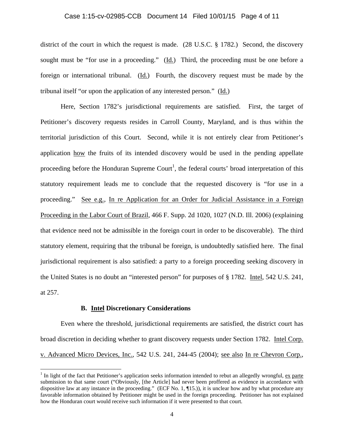#### Case 1:15-cv-02985-CCB Document 14 Filed 10/01/15 Page 4 of 11

district of the court in which the request is made. (28 U.S.C. § 1782.) Second, the discovery sought must be "for use in a proceeding." (Id.) Third, the proceeding must be one before a foreign or international tribunal. (Id.) Fourth, the discovery request must be made by the tribunal itself "or upon the application of any interested person." (Id.)

Here, Section 1782's jurisdictional requirements are satisfied. First, the target of Petitioner's discovery requests resides in Carroll County, Maryland, and is thus within the territorial jurisdiction of this Court. Second, while it is not entirely clear from Petitioner's application how the fruits of its intended discovery would be used in the pending appellate proceeding before the Honduran Supreme Court<sup>1</sup>, the federal courts' broad interpretation of this statutory requirement leads me to conclude that the requested discovery is "for use in a proceeding." See e.g., In re Application for an Order for Judicial Assistance in a Foreign Proceeding in the Labor Court of Brazil, 466 F. Supp. 2d 1020, 1027 (N.D. Ill. 2006) (explaining that evidence need not be admissible in the foreign court in order to be discoverable). The third statutory element, requiring that the tribunal be foreign, is undoubtedly satisfied here. The final jurisdictional requirement is also satisfied: a party to a foreign proceeding seeking discovery in the United States is no doubt an "interested person" for purposes of § 1782. Intel, 542 U.S. 241, at 257.

### **B. Intel Discretionary Considerations**

Even where the threshold, jurisdictional requirements are satisfied, the district court has broad discretion in deciding whether to grant discovery requests under Section 1782. Intel Corp. v. Advanced Micro Devices, Inc., 542 U.S. 241, 244-45 (2004); see also In re Chevron Corp.,

<sup>&</sup>lt;sup>1</sup> In light of the fact that Petitioner's application seeks information intended to rebut an allegedly wrongful,  $ex$  parte submission to that same court ("Obviously, [the Article] had never been proffered as evidence in accordance with dispositive law at any instance in the proceeding." (ECF No. 1, ¶15.)), it is unclear how and by what procedure any favorable information obtained by Petitioner might be used in the foreign proceeding. Petitioner has not explained how the Honduran court would receive such information if it were presented to that court.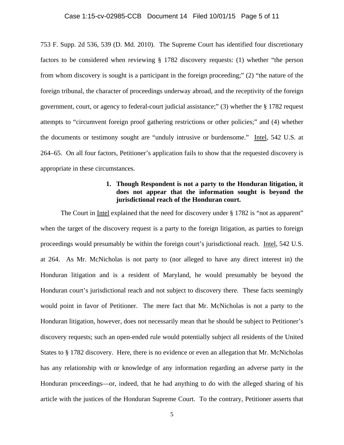## Case 1:15-cv-02985-CCB Document 14 Filed 10/01/15 Page 5 of 11

753 F. Supp. 2d 536, 539 (D. Md. 2010). The Supreme Court has identified four discretionary factors to be considered when reviewing § 1782 discovery requests: (1) whether "the person from whom discovery is sought is a participant in the foreign proceeding;" (2) "the nature of the foreign tribunal, the character of proceedings underway abroad, and the receptivity of the foreign government, court, or agency to federal-court judicial assistance;" (3) whether the § 1782 request attempts to "circumvent foreign proof gathering restrictions or other policies;" and (4) whether the documents or testimony sought are "unduly intrusive or burdensome." Intel*,* 542 U.S. at 264–65. On all four factors, Petitioner's application fails to show that the requested discovery is appropriate in these circumstances.

# **1. Though Respondent is not a party to the Honduran litigation, it does not appear that the information sought is beyond the jurisdictional reach of the Honduran court.**

The Court in Intel explained that the need for discovery under § 1782 is "not as apparent" when the target of the discovery request is a party to the foreign litigation, as parties to foreign proceedings would presumably be within the foreign court's jurisdictional reach. Intel, 542 U.S. at 264. As Mr. McNicholas is not party to (nor alleged to have any direct interest in) the Honduran litigation and is a resident of Maryland, he would presumably be beyond the Honduran court's jurisdictional reach and not subject to discovery there. These facts seemingly would point in favor of Petitioner. The mere fact that Mr. McNicholas is not a party to the Honduran litigation, however, does not necessarily mean that he should be subject to Petitioner's discovery requests; such an open-ended rule would potentially subject all residents of the United States to § 1782 discovery. Here, there is no evidence or even an allegation that Mr. McNicholas has any relationship with or knowledge of any information regarding an adverse party in the Honduran proceedings—or, indeed, that he had anything to do with the alleged sharing of his article with the justices of the Honduran Supreme Court. To the contrary, Petitioner asserts that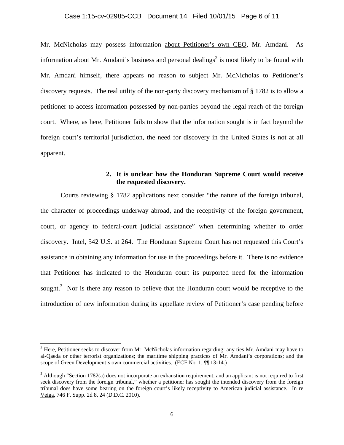## Case 1:15-cv-02985-CCB Document 14 Filed 10/01/15 Page 6 of 11

Mr. McNicholas may possess information about Petitioner's own CEO, Mr. Amdani. As information about Mr. Amdani's business and personal dealings<sup>2</sup> is most likely to be found with Mr. Amdani himself, there appears no reason to subject Mr. McNicholas to Petitioner's discovery requests. The real utility of the non-party discovery mechanism of § 1782 is to allow a petitioner to access information possessed by non-parties beyond the legal reach of the foreign court. Where, as here, Petitioner fails to show that the information sought is in fact beyond the foreign court's territorial jurisdiction, the need for discovery in the United States is not at all apparent.

# **2. It is unclear how the Honduran Supreme Court would receive the requested discovery.**

Courts reviewing § 1782 applications next consider "the nature of the foreign tribunal, the character of proceedings underway abroad, and the receptivity of the foreign government, court, or agency to federal-court judicial assistance" when determining whether to order discovery. Intel, 542 U.S. at 264. The Honduran Supreme Court has not requested this Court's assistance in obtaining any information for use in the proceedings before it. There is no evidence that Petitioner has indicated to the Honduran court its purported need for the information sought.<sup>3</sup> Nor is there any reason to believe that the Honduran court would be receptive to the introduction of new information during its appellate review of Petitioner's case pending before

 $2<sup>2</sup>$  Here, Petitioner seeks to discover from Mr. McNicholas information regarding: any ties Mr. Amdani may have to al-Qaeda or other terrorist organizations; the maritime shipping practices of Mr. Amdani's corporations; and the scope of Green Development's own commercial activities. (ECF No. 1,  $\P$  13-14.)

 $3$  Although "Section 1782(a) does not incorporate an exhaustion requirement, and an applicant is not required to first seek discovery from the foreign tribunal," whether a petitioner has sought the intended discovery from the foreign tribunal does have some bearing on the foreign court's likely receptivity to American judicial assistance. In re Veiga, 746 F. Supp. 2d 8, 24 (D.D.C. 2010).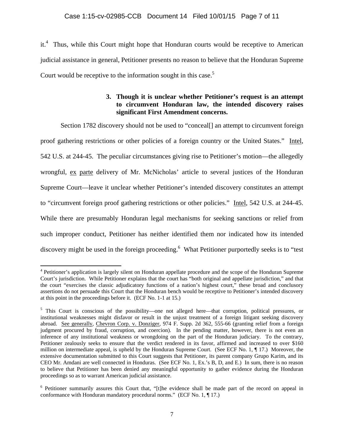it.<sup>4</sup> Thus, while this Court might hope that Honduran courts would be receptive to American judicial assistance in general, Petitioner presents no reason to believe that the Honduran Supreme Court would be receptive to the information sought in this case.<sup>5</sup>

# **3. Though it is unclear whether Petitioner's request is an attempt to circumvent Honduran law, the intended discovery raises significant First Amendment concerns.**

Section 1782 discovery should not be used to "conceal<sup>[]</sup> an attempt to circumvent foreign proof gathering restrictions or other policies of a foreign country or the United States." Intel, 542 U.S. at 244-45. The peculiar circumstances giving rise to Petitioner's motion—the allegedly wrongful, ex parte delivery of Mr. McNicholas' article to several justices of the Honduran Supreme Court—leave it unclear whether Petitioner's intended discovery constitutes an attempt to "circumvent foreign proof gathering restrictions or other policies." Intel, 542 U.S. at 244-45. While there are presumably Honduran legal mechanisms for seeking sanctions or relief from such improper conduct, Petitioner has neither identified them nor indicated how its intended discovery might be used in the foreign proceeding. What Petitioner purportedly seeks is to "test

 <sup>4</sup> Petitioner's application is largely silent on Honduran appellate procedure and the scope of the Honduran Supreme Court's jurisdiction. While Petitioner explains that the court has "both original and appellate jurisdiction," and that the court "exercises the classic adjudicatory functions of a nation's highest court," these broad and conclusory assertions do not persuade this Court that the Honduran bench would be receptive to Petitioner's intended discovery at this point in the proceedings before it. (ECF No. 1-1 at 15.)

<sup>&</sup>lt;sup>5</sup> This Court is conscious of the possibility—one not alleged here—that corruption, political pressures, or institutional weaknesses might disfavor or result in the unjust treatment of a foreign litigant seeking discovery abroad. See generally, Chevron Corp. v. Donziger, 974 F. Supp. 2d 362, 555-66 (granting relief from a foreign judgment procured by fraud, corruption, and coercion). In the pending matter, however, there is not even an inference of any institutional weakness or wrongdoing on the part of the Honduran judiciary. To the contrary, Petitioner zealously seeks to ensure that the verdict rendered in its favor, affirmed and increased to over \$160 million on intermediate appeal, is upheld by the Honduran Supreme Court. (See ECF No. 1, ¶ 17.) Moreover, the extensive documentation submitted to this Court suggests that Petitioner, its parent company Grupo Karim, and its CEO Mr. Amdani are well connected in Honduras. (See ECF No. 1, Ex.'s B, D, and E.) In sum, there is no reason to believe that Petitioner has been denied any meaningful opportunity to gather evidence during the Honduran proceedings so as to warrant American judicial assistance.

<sup>&</sup>lt;sup>6</sup> Petitioner summarily assures this Court that, "[t]he evidence shall be made part of the record on appeal in conformance with Honduran mandatory procedural norms." (ECF No. 1, ¶ 17.)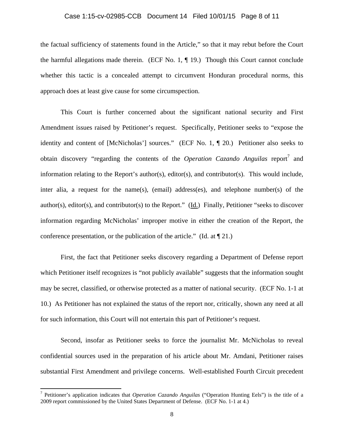## Case 1:15-cv-02985-CCB Document 14 Filed 10/01/15 Page 8 of 11

the factual sufficiency of statements found in the Article," so that it may rebut before the Court the harmful allegations made therein. (ECF No. 1, ¶ 19.) Though this Court cannot conclude whether this tactic is a concealed attempt to circumvent Honduran procedural norms, this approach does at least give cause for some circumspection.

This Court is further concerned about the significant national security and First Amendment issues raised by Petitioner's request. Specifically, Petitioner seeks to "expose the identity and content of [McNicholas'] sources." (ECF No. 1, ¶ 20.) Petitioner also seeks to obtain discovery "regarding the contents of the *Operation Cazando Anguilas* report<sup>7</sup> and information relating to the Report's author(s), editor(s), and contributor(s). This would include, inter alia, a request for the name(s), (email) address(es), and telephone number(s) of the author(s), editor(s), and contributor(s) to the Report." (Id.) Finally, Petitioner "seeks to discover information regarding McNicholas' improper motive in either the creation of the Report, the conference presentation, or the publication of the article." (Id. at  $\P$  21.)

First, the fact that Petitioner seeks discovery regarding a Department of Defense report which Petitioner itself recognizes is "not publicly available" suggests that the information sought may be secret, classified, or otherwise protected as a matter of national security. (ECF No. 1-1 at 10.) As Petitioner has not explained the status of the report nor, critically, shown any need at all for such information, this Court will not entertain this part of Petitioner's request.

Second, insofar as Petitioner seeks to force the journalist Mr. McNicholas to reveal confidential sources used in the preparation of his article about Mr. Amdani, Petitioner raises substantial First Amendment and privilege concerns. Well-established Fourth Circuit precedent

<sup>7</sup> Petitioner's application indicates that *Operation Cazando Anguilas* ("Operation Hunting Eels") is the title of a 2009 report commissioned by the United States Department of Defense. (ECF No. 1-1 at 4.)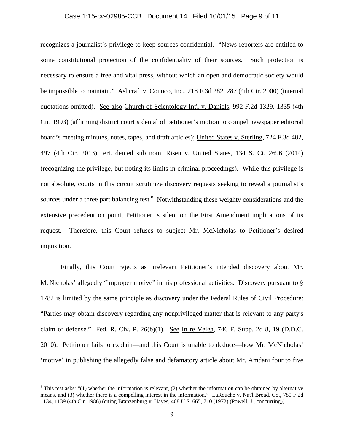### Case 1:15-cv-02985-CCB Document 14 Filed 10/01/15 Page 9 of 11

recognizes a journalist's privilege to keep sources confidential. "News reporters are entitled to some constitutional protection of the confidentiality of their sources. Such protection is necessary to ensure a free and vital press, without which an open and democratic society would be impossible to maintain." Ashcraft v. Conoco, Inc., 218 F.3d 282, 287 (4th Cir. 2000) (internal quotations omitted). See also Church of Scientology Int'l v. Daniels, 992 F.2d 1329, 1335 (4th Cir. 1993) (affirming district court's denial of petitioner's motion to compel newspaper editorial board's meeting minutes, notes, tapes, and draft articles); United States v. Sterling, 724 F.3d 482, 497 (4th Cir. 2013) cert. denied sub nom. Risen v. United States, 134 S. Ct. 2696 (2014) (recognizing the privilege, but noting its limits in criminal proceedings). While this privilege is not absolute, courts in this circuit scrutinize discovery requests seeking to reveal a journalist's sources under a three part balancing test.<sup>8</sup> Notwithstanding these weighty considerations and the extensive precedent on point, Petitioner is silent on the First Amendment implications of its request. Therefore, this Court refuses to subject Mr. McNicholas to Petitioner's desired inquisition.

Finally, this Court rejects as irrelevant Petitioner's intended discovery about Mr. McNicholas' allegedly "improper motive" in his professional activities. Discovery pursuant to § 1782 is limited by the same principle as discovery under the Federal Rules of Civil Procedure: "Parties may obtain discovery regarding any nonprivileged matter that is relevant to any party's claim or defense." Fed. R. Civ. P. 26(b)(1). See In re Veiga, 746 F. Supp. 2d 8, 19 (D.D.C. 2010). Petitioner fails to explain—and this Court is unable to deduce—how Mr. McNicholas' 'motive' in publishing the allegedly false and defamatory article about Mr. Amdani four to five

 $8$  This test asks: "(1) whether the information is relevant, (2) whether the information can be obtained by alternative means, and (3) whether there is a compelling interest in the information." LaRouche v. Nat'l Broad. Co., 780 F.2d 1134, 1139 (4th Cir. 1986) (citing Branzenburg v. Hayes, 408 U.S. 665, 710 (1972) (Powell, J., concurring)).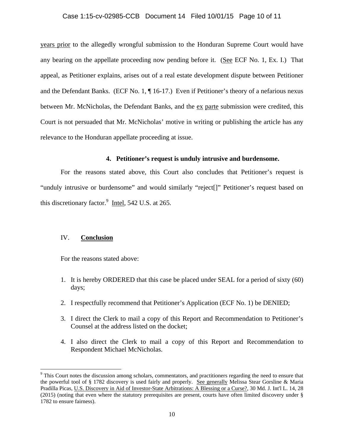### Case 1:15-cv-02985-CCB Document 14 Filed 10/01/15 Page 10 of 11

years prior to the allegedly wrongful submission to the Honduran Supreme Court would have any bearing on the appellate proceeding now pending before it. (See ECF No. 1, Ex. I.) That appeal, as Petitioner explains, arises out of a real estate development dispute between Petitioner and the Defendant Banks. (ECF No. 1, ¶ 16-17.) Even if Petitioner's theory of a nefarious nexus between Mr. McNicholas, the Defendant Banks, and the ex parte submission were credited, this Court is not persuaded that Mr. McNicholas' motive in writing or publishing the article has any relevance to the Honduran appellate proceeding at issue.

## **4. Petitioner's request is unduly intrusive and burdensome.**

For the reasons stated above, this Court also concludes that Petitioner's request is "unduly intrusive or burdensome" and would similarly "reject[]" Petitioner's request based on this discretionary factor. $\frac{9 \text{ Intel}}{24}$ , 542 U.S. at 265.

## IV. **Conclusion**

For the reasons stated above:

- 1. It is hereby ORDERED that this case be placed under SEAL for a period of sixty (60) days;
- 2. I respectfully recommend that Petitioner's Application (ECF No. 1) be DENIED;
- 3. I direct the Clerk to mail a copy of this Report and Recommendation to Petitioner's Counsel at the address listed on the docket;
- 4. I also direct the Clerk to mail a copy of this Report and Recommendation to Respondent Michael McNicholas.

<sup>&</sup>lt;sup>9</sup> This Court notes the discussion among scholars, commentators, and practitioners regarding the need to ensure that the powerful tool of § 1782 discovery is used fairly and properly. See generally Melissa Stear Gorsline & Maria Pradilla Picas, U.S. Discovery in Aid of Investor-State Arbitrations: A Blessing or a Curse?, 30 Md. J. Int'l L. 14, 28 (2015) (noting that even where the statutory prerequisites are present, courts have often limited discovery under § 1782 to ensure fairness).